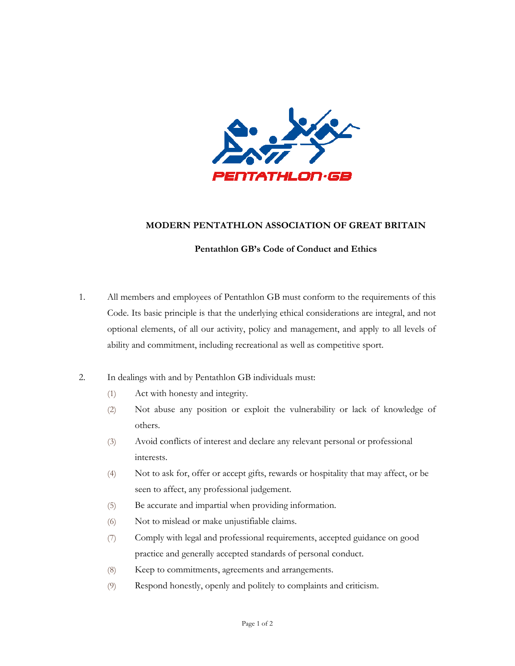

## **MODERN PENTATHLON ASSOCIATION OF GREAT BRITAIN**

## **Pentathlon GB's Code of Conduct and Ethics**

- 1. All members and employees of Pentathlon GB must conform to the requirements of this Code. Its basic principle is that the underlying ethical considerations are integral, and not optional elements, of all our activity, policy and management, and apply to all levels of ability and commitment, including recreational as well as competitive sport.
- 2. In dealings with and by Pentathlon GB individuals must:
	- (1) Act with honesty and integrity.
	- (2) Not abuse any position or exploit the vulnerability or lack of knowledge of others.
	- (3) Avoid conflicts of interest and declare any relevant personal or professional interests.
	- (4) Not to ask for, offer or accept gifts, rewards or hospitality that may affect, or be seen to affect, any professional judgement.
	- (5) Be accurate and impartial when providing information.
	- (6) Not to mislead or make unjustifiable claims.
	- (7) Comply with legal and professional requirements, accepted guidance on good practice and generally accepted standards of personal conduct.
	- (8) Keep to commitments, agreements and arrangements.
	- (9) Respond honestly, openly and politely to complaints and criticism.